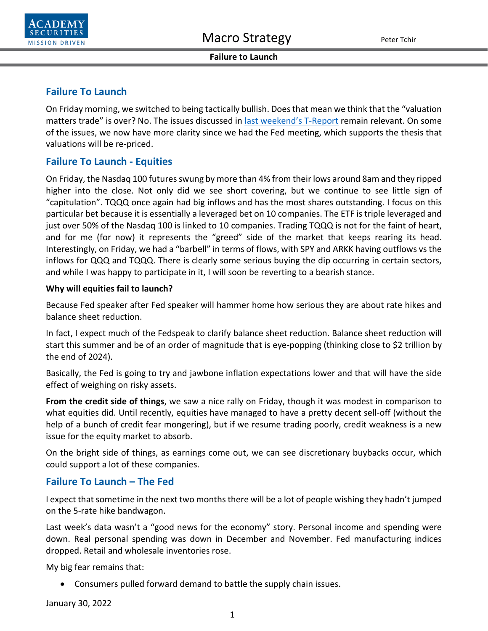



# **Failure To Launch**

On Friday morning, we switched to being tactically bullish. Does that mean we think that the "valuation matters trade" is over? No. The issues discussed in [last weekend's T-Report](https://www.academysecurities.com/wordpress/wp-content/uploads/2022/01/The-Year-Changed-Again.pdf) remain relevant. On some of the issues, we now have more clarity since we had the Fed meeting, which supports the thesis that valuations will be re-priced.

# **Failure To Launch - Equities**

On Friday, the Nasdaq 100 futures swung by more than 4% from their lows around 8am and they ripped higher into the close. Not only did we see short covering, but we continue to see little sign of "capitulation". TQQQ once again had big inflows and has the most shares outstanding. I focus on this particular bet because it is essentially a leveraged bet on 10 companies. The ETF is triple leveraged and just over 50% of the Nasdaq 100 is linked to 10 companies. Trading TQQQ is not for the faint of heart, and for me (for now) it represents the "greed" side of the market that keeps rearing its head. Interestingly, on Friday, we had a "barbell" in terms of flows, with SPY and ARKK having outflows vs the inflows for QQQ and TQQQ. There is clearly some serious buying the dip occurring in certain sectors, and while I was happy to participate in it, I will soon be reverting to a bearish stance.

### **Why will equities fail to launch?**

Because Fed speaker after Fed speaker will hammer home how serious they are about rate hikes and balance sheet reduction.

In fact, I expect much of the Fedspeak to clarify balance sheet reduction. Balance sheet reduction will start this summer and be of an order of magnitude that is eye-popping (thinking close to \$2 trillion by the end of 2024).

Basically, the Fed is going to try and jawbone inflation expectations lower and that will have the side effect of weighing on risky assets.

**From the credit side of things**, we saw a nice rally on Friday, though it was modest in comparison to what equities did. Until recently, equities have managed to have a pretty decent sell-off (without the help of a bunch of credit fear mongering), but if we resume trading poorly, credit weakness is a new issue for the equity market to absorb.

On the bright side of things, as earnings come out, we can see discretionary buybacks occur, which could support a lot of these companies.

## **Failure To Launch – The Fed**

I expect that sometime in the next two months there will be a lot of people wishing they hadn't jumped on the 5-rate hike bandwagon.

Last week's data wasn't a "good news for the economy" story. Personal income and spending were down. Real personal spending was down in December and November. Fed manufacturing indices dropped. Retail and wholesale inventories rose.

My big fear remains that:

• Consumers pulled forward demand to battle the supply chain issues.

January 30, 2022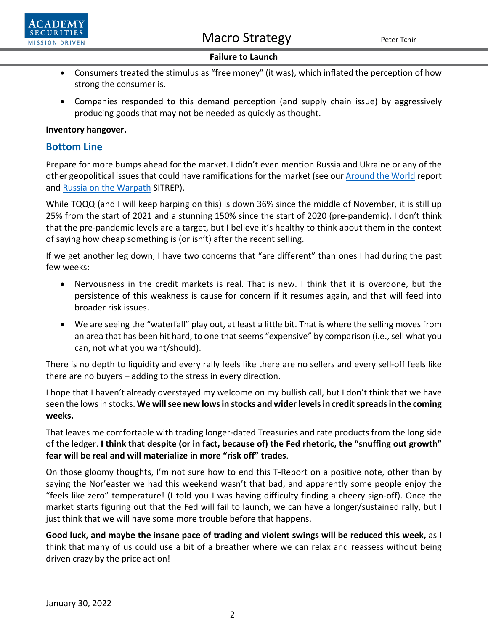#### **Failure to Launch**

- Consumers treated the stimulus as "free money" (it was), which inflated the perception of how strong the consumer is.
- Companies responded to this demand perception (and supply chain issue) by aggressively producing goods that may not be needed as quickly as thought.

#### **Inventory hangover.**

## **Bottom Line**

Prepare for more bumps ahead for the market. I didn't even mention Russia and Ukraine or any of the other geopolitical issues that could have ramifications for the market (see ou[r Around the World](https://www.academysecurities.com/wordpress/wp-content/uploads/2022/01/Around-the-World-with-Academy-Securities_1_28_22.pdf) report an[d Russia on the Warpath](https://www.academysecurities.com/russia-on-the-warpath-update-1-26-22/) SITREP).

While TQQQ (and I will keep harping on this) is down 36% since the middle of November, it is still up 25% from the start of 2021 and a stunning 150% since the start of 2020 (pre-pandemic). I don't think that the pre-pandemic levels are a target, but I believe it's healthy to think about them in the context of saying how cheap something is (or isn't) after the recent selling.

If we get another leg down, I have two concerns that "are different" than ones I had during the past few weeks:

- Nervousness in the credit markets is real. That is new. I think that it is overdone, but the persistence of this weakness is cause for concern if it resumes again, and that will feed into broader risk issues.
- We are seeing the "waterfall" play out, at least a little bit. That is where the selling moves from an area that has been hit hard, to one that seems "expensive" by comparison (i.e., sell what you can, not what you want/should).

There is no depth to liquidity and every rally feels like there are no sellers and every sell-off feels like there are no buyers – adding to the stress in every direction.

I hope that I haven't already overstayed my welcome on my bullish call, but I don't think that we have seen the lows in stocks. **We will see new lows in stocks and wider levels in credit spreads in the coming weeks.**

That leaves me comfortable with trading longer-dated Treasuries and rate products from the long side of the ledger. **I think that despite (or in fact, because of) the Fed rhetoric, the "snuffing out growth" fear will be real and will materialize in more "risk off" trades**.

On those gloomy thoughts, I'm not sure how to end this T-Report on a positive note, other than by saying the Nor'easter we had this weekend wasn't that bad, and apparently some people enjoy the "feels like zero" temperature! (I told you I was having difficulty finding a cheery sign-off). Once the market starts figuring out that the Fed will fail to launch, we can have a longer/sustained rally, but I just think that we will have some more trouble before that happens.

**Good luck, and maybe the insane pace of trading and violent swings will be reduced this week,** as I think that many of us could use a bit of a breather where we can relax and reassess without being driven crazy by the price action!